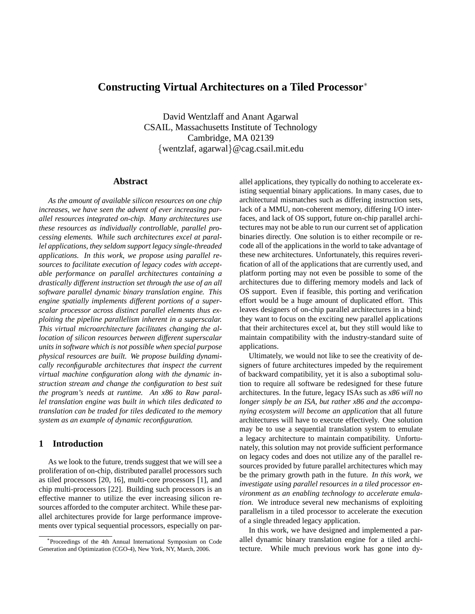# **Constructing Virtual Architectures on a Tiled Processor**<sup>∗</sup>

David Wentzlaff and Anant Agarwal CSAIL, Massachusetts Institute of Technology Cambridge, MA 02139 {wentzlaf, agarwal}@cag.csail.mit.edu

#### **Abstract**

*As the amount of available silicon resources on one chip increases, we have seen the advent of ever increasing parallel resources integrated on-chip. Many architectures use these resources as individually controllable, parallel processing elements. While such architectures excel at parallel applications, they seldom support legacy single-threaded applications. In this work, we propose using parallel resources to facilitate execution of legacy codes with acceptable performance on parallel architectures containing a drastically different instruction set through the use of an all software parallel dynamic binary translation engine. This engine spatially implements different portions of a superscalar processor across distinct parallel elements thus exploiting the pipeline parallelism inherent in a superscalar. This virtual microarchitecture facilitates changing the allocation of silicon resources between different superscalar units in software which is not possible when special purpose physical resources are built. We propose building dynamically reconfigurable architectures that inspect the current virtual machine configuration along with the dynamic instruction stream and change the configuration to best suit the program's needs at runtime. An x86 to Raw parallel translation engine was built in which tiles dedicated to translation can be traded for tiles dedicated to the memory system as an example of dynamic reconfiguration.*

## **1 Introduction**

As we look to the future, trends suggest that we will see a proliferation of on-chip, distributed parallel processors such as tiled processors [20, 16], multi-core processors [1], and chip multi-processors [22]. Building such processors is an effective manner to utilize the ever increasing silicon resources afforded to the computer architect. While these parallel architectures provide for large performance improvements over typical sequential processors, especially on parallel applications, they typically do nothing to accelerate existing sequential binary applications. In many cases, due to architectural mismatches such as differing instruction sets, lack of a MMU, non-coherent memory, differing I/O interfaces, and lack of OS support, future on-chip parallel architectures may not be able to run our current set of application binaries directly. One solution is to either recompile or recode all of the applications in the world to take advantage of these new architectures. Unfortunately, this requires reverification of all of the applications that are currently used, and platform porting may not even be possible to some of the architectures due to differing memory models and lack of OS support. Even if feasible, this porting and verification effort would be a huge amount of duplicated effort. This leaves designers of on-chip parallel architectures in a bind; they want to focus on the exciting new parallel applications that their architectures excel at, but they still would like to maintain compatibility with the industry-standard suite of applications.

Ultimately, we would not like to see the creativity of designers of future architectures impeded by the requirement of backward compatibility, yet it is also a suboptimal solution to require all software be redesigned for these future architectures. In the future, legacy ISAs such as *x86 will no longer simply be an ISA, but rather x86 and the accompanying ecosystem will become an application* that all future architectures will have to execute effectively. One solution may be to use a sequential translation system to emulate a legacy architecture to maintain compatibility. Unfortunately, this solution may not provide sufficient performance on legacy codes and does not utilize any of the parallel resources provided by future parallel architectures which may be the primary growth path in the future. *In this work, we investigate using parallel resources in a tiled processor environment as an enabling technology to accelerate emulation.* We introduce several new mechanisms of exploiting parallelism in a tiled processor to accelerate the execution of a single threaded legacy application.

In this work, we have designed and implemented a parallel dynamic binary translation engine for a tiled architecture. While much previous work has gone into dy-

<sup>\*</sup>Proceedings of the 4th Annual International Symposium on Code Generation and Optimization (CGO-4), New York, NY, March, 2006.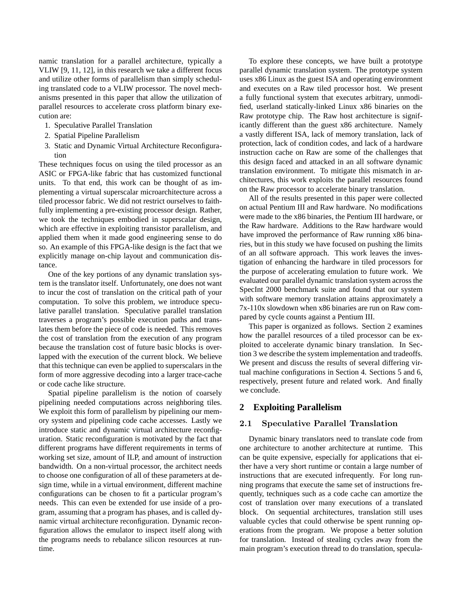namic translation for a parallel architecture, typically a VLIW [9, 11, 12], in this research we take a different focus and utilize other forms of parallelism than simply scheduling translated code to a VLIW processor. The novel mechanisms presented in this paper that allow the utilization of parallel resources to accelerate cross platform binary execution are:

- 1. Speculative Parallel Translation
- 2. Spatial Pipeline Parallelism
- 3. Static and Dynamic Virtual Architecture Reconfiguration

These techniques focus on using the tiled processor as an ASIC or FPGA-like fabric that has customized functional units. To that end, this work can be thought of as implementing a virtual superscalar microarchitecture across a tiled processor fabric. We did not restrict ourselves to faithfully implementing a pre-existing processor design. Rather, we took the techniques embodied in superscalar design, which are effective in exploiting transistor parallelism, and applied them when it made good engineering sense to do so. An example of this FPGA-like design is the fact that we explicitly manage on-chip layout and communication distance.

One of the key portions of any dynamic translation system is the translator itself. Unfortunately, one does not want to incur the cost of translation on the critical path of your computation. To solve this problem, we introduce speculative parallel translation. Speculative parallel translation traverses a program's possible execution paths and translates them before the piece of code is needed. This removes the cost of translation from the execution of any program because the translation cost of future basic blocks is overlapped with the execution of the current block. We believe that this technique can even be applied to superscalars in the form of more aggressive decoding into a larger trace-cache or code cache like structure.

Spatial pipeline parallelism is the notion of coarsely pipelining needed computations across neighboring tiles. We exploit this form of parallelism by pipelining our memory system and pipelining code cache accesses. Lastly we introduce static and dynamic virtual architecture reconfiguration. Static reconfiguration is motivated by the fact that different programs have different requirements in terms of working set size, amount of ILP, and amount of instruction bandwidth. On a non-virtual processor, the architect needs to choose one configuration of all of these parameters at design time, while in a virtual environment, different machine configurations can be chosen to fit a particular program's needs. This can even be extended for use inside of a program, assuming that a program has phases, and is called dynamic virtual architecture reconfiguration. Dynamic reconfiguration allows the emulator to inspect itself along with the programs needs to rebalance silicon resources at runtime.

To explore these concepts, we have built a prototype parallel dynamic translation system. The prototype system uses x86 Linux as the guest ISA and operating environment and executes on a Raw tiled processor host. We present a fully functional system that executes arbitrary, unmodified, userland statically-linked Linux x86 binaries on the Raw prototype chip. The Raw host architecture is significantly different than the guest x86 architecture. Namely a vastly different ISA, lack of memory translation, lack of protection, lack of condition codes, and lack of a hardware instruction cache on Raw are some of the challenges that this design faced and attacked in an all software dynamic translation environment. To mitigate this mismatch in architectures, this work exploits the parallel resources found on the Raw processor to accelerate binary translation.

All of the results presented in this paper were collected on actual Pentium III and Raw hardware. No modifications were made to the x86 binaries, the Pentium III hardware, or the Raw hardware. Additions to the Raw hardware would have improved the performance of Raw running x86 binaries, but in this study we have focused on pushing the limits of an all software approach. This work leaves the investigation of enhancing the hardware in tiled processors for the purpose of accelerating emulation to future work. We evaluated our parallel dynamic translation system across the SpecInt 2000 benchmark suite and found that our system with software memory translation attains approximately a 7x-110x slowdown when x86 binaries are run on Raw compared by cycle counts against a Pentium III.

This paper is organized as follows. Section 2 examines how the parallel resources of a tiled processor can be exploited to accelerate dynamic binary translation. In Section 3 we describe the system implementation and tradeoffs. We present and discuss the results of several differing virtual machine configurations in Section 4. Sections 5 and 6, respectively, present future and related work. And finally we conclude.

#### **2 Exploiting Parallelism**

#### 2.1 Speculative Parallel Translation

Dynamic binary translators need to translate code from one architecture to another architecture at runtime. This can be quite expensive, especially for applications that either have a very short runtime or contain a large number of instructions that are executed infrequently. For long running programs that execute the same set of instructions frequently, techniques such as a code cache can amortize the cost of translation over many executions of a translated block. On sequential architectures, translation still uses valuable cycles that could otherwise be spent running operations from the program. We propose a better solution for translation. Instead of stealing cycles away from the main program's execution thread to do translation, specula-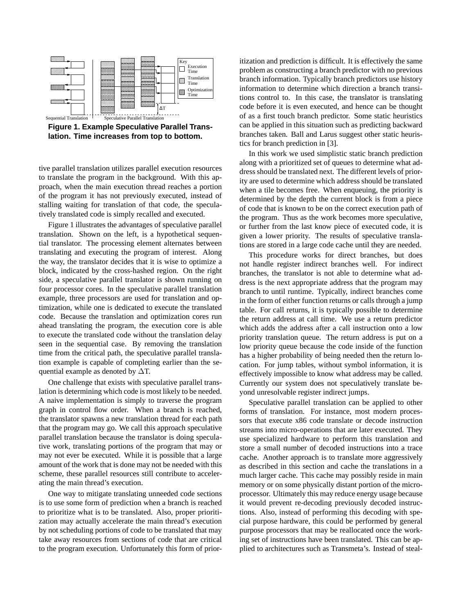

**Figure 1. Example Speculative Parallel Translation. Time increases from top to bottom.**

tive parallel translation utilizes parallel execution resources to translate the program in the background. With this approach, when the main execution thread reaches a portion of the program it has not previously executed, instead of stalling waiting for translation of that code, the speculatively translated code is simply recalled and executed.

Figure 1 illustrates the advantages of speculative parallel translation. Shown on the left, is a hypothetical sequential translator. The processing element alternates between translating and executing the program of interest. Along the way, the translator decides that it is wise to optimize a block, indicated by the cross-hashed region. On the right side, a speculative parallel translator is shown running on four processor cores. In the speculative parallel translation example, three processors are used for translation and optimization, while one is dedicated to execute the translated code. Because the translation and optimization cores run ahead translating the program, the execution core is able to execute the translated code without the translation delay seen in the sequential case. By removing the translation time from the critical path, the speculative parallel translation example is capable of completing earlier than the sequential example as denoted by ∆T.

One challenge that exists with speculative parallel translation is determining which code is most likely to be needed. A naive implementation is simply to traverse the program graph in control flow order. When a branch is reached, the translator spawns a new translation thread for each path that the program may go. We call this approach speculative parallel translation because the translator is doing speculative work, translating portions of the program that may or may not ever be executed. While it is possible that a large amount of the work that is done may not be needed with this scheme, these parallel resources still contribute to accelerating the main thread's execution.

One way to mitigate translating unneeded code sections is to use some form of prediction when a branch is reached to prioritize what is to be translated. Also, proper prioritization may actually accelerate the main thread's execution by not scheduling portions of code to be translated that may take away resources from sections of code that are critical to the program execution. Unfortunately this form of prioritization and prediction is difficult. It is effectively the same problem as constructing a branch predictor with no previous branch information. Typically branch predictors use history information to determine which direction a branch transitions control to. In this case, the translator is translating code before it is even executed, and hence can be thought of as a first touch branch predictor. Some static heuristics can be applied in this situation such as predicting backward branches taken. Ball and Larus suggest other static heuristics for branch prediction in [3].

In this work we used simplistic static branch prediction along with a prioritized set of queues to determine what addressshould be translated next. The different levels of priority are used to determine which address should be translated when a tile becomes free. When enqueuing, the priority is determined by the depth the current block is from a piece of code that is known to be on the correct execution path of the program. Thus as the work becomes more speculative, or further from the last know piece of executed code, it is given a lower priority. The results of speculative translations are stored in a large code cache until they are needed.

This procedure works for direct branches, but does not handle register indirect branches well. For indirect branches, the translator is not able to determine what address is the next appropriate address that the program may branch to until runtime. Typically, indirect branches come in the form of either function returns or calls through a jump table. For call returns, it is typically possible to determine the return address at call time. We use a return predictor which adds the address after a call instruction onto a low priority translation queue. The return address is put on a low priority queue because the code inside of the function has a higher probability of being needed then the return location. For jump tables, without symbol information, it is effectively impossible to know what address may be called. Currently our system does not speculatively translate beyond unresolvable register indirect jumps.

Speculative parallel translation can be applied to other forms of translation. For instance, most modern processors that execute x86 code translate or decode instruction streams into micro-operations that are later executed. They use specialized hardware to perform this translation and store a small number of decoded instructions into a trace cache. Another approach is to translate more aggressively as described in this section and cache the translations in a much larger cache. This cache may possibly reside in main memory or on some physically distant portion of the microprocessor. Ultimately this may reduce energy usage because it would prevent re-decoding previously decoded instructions. Also, instead of performing this decoding with special purpose hardware, this could be performed by general purpose processors that may be reallocated once the working set of instructions have been translated. This can be applied to architectures such as Transmeta's. Instead of steal-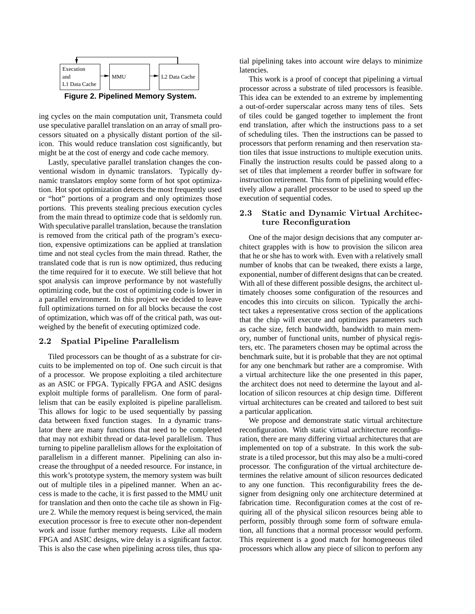

**Figure 2. Pipelined Memory System.**

ing cycles on the main computation unit, Transmeta could use speculative parallel translation on an array of small processors situated on a physically distant portion of the silicon. This would reduce translation cost significantly, but might be at the cost of energy and code cache memory.

Lastly, speculative parallel translation changes the conventional wisdom in dynamic translators. Typically dynamic translators employ some form of hot spot optimization. Hot spot optimization detects the most frequently used or "hot" portions of a program and only optimizes those portions. This prevents stealing precious execution cycles from the main thread to optimize code that is seldomly run. With speculative parallel translation, because the translation is removed from the critical path of the program's execution, expensive optimizations can be applied at translation time and not steal cycles from the main thread. Rather, the translated code that is run is now optimized, thus reducing the time required for it to execute. We still believe that hot spot analysis can improve performance by not wastefully optimizing code, but the cost of optimizing code is lower in a parallel environment. In this project we decided to leave full optimizations turned on for all blocks because the cost of optimization, which was off of the critical path, was outweighed by the benefit of executing optimized code.

#### 2.2 Spatial Pipeline Parallelism

Tiled processors can be thought of as a substrate for circuits to be implemented on top of. One such circuit is that of a processor. We propose exploiting a tiled architecture as an ASIC or FPGA. Typically FPGA and ASIC designs exploit multiple forms of parallelism. One form of parallelism that can be easily exploited is pipeline parallelism. This allows for logic to be used sequentially by passing data between fixed function stages. In a dynamic translator there are many functions that need to be completed that may not exhibit thread or data-level parallelism. Thus turning to pipeline parallelism allows for the exploitation of parallelism in a different manner. Pipelining can also increase the throughput of a needed resource. For instance, in this work's prototype system, the memory system was built out of multiple tiles in a pipelined manner. When an access is made to the cache, it is first passed to the MMU unit for translation and then onto the cache tile as shown in Figure 2. While the memory request is being serviced, the main execution processor is free to execute other non-dependent work and issue further memory requests. Like all modern FPGA and ASIC designs, wire delay is a significant factor. This is also the case when pipelining across tiles, thus spatial pipelining takes into account wire delays to minimize latencies.

This work is a proof of concept that pipelining a virtual processor across a substrate of tiled processors is feasible. This idea can be extended to an extreme by implementing a out-of-order superscalar across many tens of tiles. Sets of tiles could be ganged together to implement the front end translation, after which the instructions pass to a set of scheduling tiles. Then the instructions can be passed to processors that perform renaming and then reservation station tiles that issue instructions to multiple execution units. Finally the instruction results could be passed along to a set of tiles that implement a reorder buffer in software for instruction retirement. This form of pipelining would effectively allow a parallel processor to be used to speed up the execution of sequential codes.

# 2.3 Static and Dynamic Virtual Architecture Reconfiguration

One of the major design decisions that any computer architect grapples with is how to provision the silicon area that he or she has to work with. Even with a relatively small number of knobs that can be tweaked, there exists a large, exponential, number of different designs that can be created. With all of these different possible designs, the architect ultimately chooses some configuration of the resources and encodes this into circuits on silicon. Typically the architect takes a representative cross section of the applications that the chip will execute and optimizes parameters such as cache size, fetch bandwidth, bandwidth to main memory, number of functional units, number of physical registers, etc. The parameters chosen may be optimal across the benchmark suite, but it is probable that they are not optimal for any one benchmark but rather are a compromise. With a virtual architecture like the one presented in this paper, the architect does not need to determine the layout and allocation of silicon resources at chip design time. Different virtual architectures can be created and tailored to best suit a particular application.

We propose and demonstrate static virtual architecture reconfiguration. With static virtual architecture reconfiguration, there are many differing virtual architectures that are implemented on top of a substrate. In this work the substrate is a tiled processor, but this may also be a multi-cored processor. The configuration of the virtual architecture determines the relative amount of silicon resources dedicated to any one function. This reconfigurability frees the designer from designing only one architecture determined at fabrication time. Reconfiguration comes at the cost of requiring all of the physical silicon resources being able to perform, possibly through some form of software emulation, all functions that a normal processor would perform. This requirement is a good match for homogeneous tiled processors which allow any piece of silicon to perform any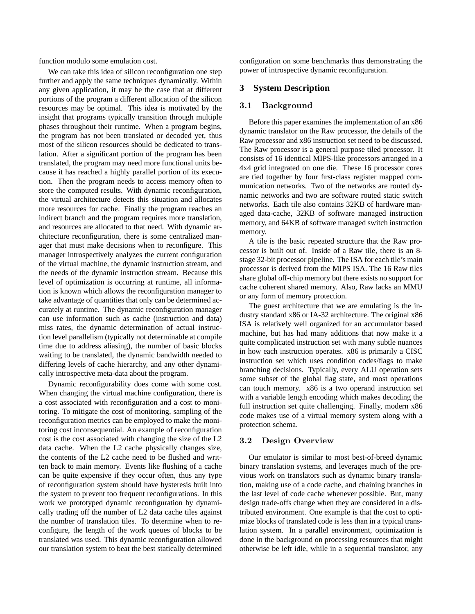function modulo some emulation cost.

We can take this idea of silicon reconfiguration one step further and apply the same techniques dynamically. Within any given application, it may be the case that at different portions of the program a different allocation of the silicon resources may be optimal. This idea is motivated by the insight that programs typically transition through multiple phases throughout their runtime. When a program begins, the program has not been translated or decoded yet, thus most of the silicon resources should be dedicated to translation. After a significant portion of the program has been translated, the program may need more functional units because it has reached a highly parallel portion of its execution. Then the program needs to access memory often to store the computed results. With dynamic reconfiguration, the virtual architecture detects this situation and allocates more resources for cache. Finally the program reaches an indirect branch and the program requires more translation, and resources are allocated to that need. With dynamic architecture reconfiguration, there is some centralized manager that must make decisions when to reconfigure. This manager introspectively analyzes the current configuration of the virtual machine, the dynamic instruction stream, and the needs of the dynamic instruction stream. Because this level of optimization is occurring at runtime, all information is known which allows the reconfiguration manager to take advantage of quantities that only can be determined accurately at runtime. The dynamic reconfiguration manager can use information such as cache (instruction and data) miss rates, the dynamic determination of actual instruction level parallelism (typically not determinable at compile time due to address aliasing), the number of basic blocks waiting to be translated, the dynamic bandwidth needed to differing levels of cache hierarchy, and any other dynamically introspective meta-data about the program.

Dynamic reconfigurability does come with some cost. When changing the virtual machine configuration, there is a cost associated with reconfiguration and a cost to monitoring. To mitigate the cost of monitoring, sampling of the reconfiguration metrics can be employed to make the monitoring cost inconsequential. An example of reconfiguration cost is the cost associated with changing the size of the L2 data cache. When the L2 cache physically changes size, the contents of the L2 cache need to be flushed and written back to main memory. Events like flushing of a cache can be quite expensive if they occur often, thus any type of reconfiguration system should have hysteresis built into the system to prevent too frequent reconfigurations. In this work we prototyped dynamic reconfiguration by dynamically trading off the number of L2 data cache tiles against the number of translation tiles. To determine when to reconfigure, the length of the work queues of blocks to be translated was used. This dynamic reconfiguration allowed our translation system to beat the best statically determined configuration on some benchmarks thus demonstrating the power of introspective dynamic reconfiguration.

## **3 System Description**

#### 3.1 Background

Before this paper examines the implementation of an x86 dynamic translator on the Raw processor, the details of the Raw processor and x86 instruction set need to be discussed. The Raw processor is a general purpose tiled processor. It consists of 16 identical MIPS-like processors arranged in a 4x4 grid integrated on one die. These 16 processor cores are tied together by four first-class register mapped communication networks. Two of the networks are routed dynamic networks and two are software routed static switch networks. Each tile also contains 32KB of hardware managed data-cache, 32KB of software managed instruction memory, and 64KB of software managed switch instruction memory.

A tile is the basic repeated structure that the Raw processor is built out of. Inside of a Raw tile, there is an 8 stage 32-bit processor pipeline. The ISA for each tile's main processor is derived from the MIPS ISA. The 16 Raw tiles share global off-chip memory but there exists no support for cache coherent shared memory. Also, Raw lacks an MMU or any form of memory protection.

The guest architecture that we are emulating is the industry standard x86 or IA-32 architecture. The original x86 ISA is relatively well organized for an accumulator based machine, but has had many additions that now make it a quite complicated instruction set with many subtle nuances in how each instruction operates. x86 is primarily a CISC instruction set which uses condition codes/flags to make branching decisions. Typically, every ALU operation sets some subset of the global flag state, and most operations can touch memory. x86 is a two operand instruction set with a variable length encoding which makes decoding the full instruction set quite challenging. Finally, modern x86 code makes use of a virtual memory system along with a protection schema.

## 3.2 Design Overview

Our emulator is similar to most best-of-breed dynamic binary translation systems, and leverages much of the previous work on translators such as dynamic binary translation, making use of a code cache, and chaining branches in the last level of code cache whenever possible. But, many design trade-offs change when they are considered in a distributed environment. One example is that the cost to optimize blocks of translated code is less than in a typical translation system. In a parallel environment, optimization is done in the background on processing resources that might otherwise be left idle, while in a sequential translator, any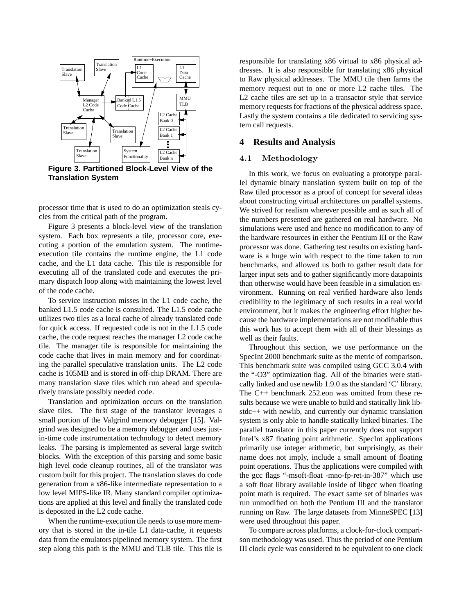

**Figure 3. Partitioned Block-Level View of the Translation System**

processor time that is used to do an optimization steals cycles from the critical path of the program.

Figure 3 presents a block-level view of the translation system. Each box represents a tile, processor core, executing a portion of the emulation system. The runtimeexecution tile contains the runtime engine, the L1 code cache, and the L1 data cache. This tile is responsible for executing all of the translated code and executes the primary dispatch loop along with maintaining the lowest level of the code cache.

To service instruction misses in the L1 code cache, the banked L1.5 code cache is consulted. The L1.5 code cache utilizes two tiles as a local cache of already translated code for quick access. If requested code is not in the L1.5 code cache, the code request reaches the manager L2 code cache tile. The manager tile is responsible for maintaining the code cache that lives in main memory and for coordinating the parallel speculative translation units. The L2 code cache is 105MB and is stored in off-chip DRAM. There are many translation slave tiles which run ahead and speculatively translate possibly needed code.

Translation and optimization occurs on the translation slave tiles. The first stage of the translator leverages a small portion of the Valgrind memory debugger [15]. Valgrind was designed to be a memory debugger and uses justin-time code instrumentation technology to detect memory leaks. The parsing is implemented as several large switch blocks. With the exception of this parsing and some basic high level code cleanup routines, all of the translator was custom built for this project. The translation slaves do code generation from a x86-like intermediate representation to a low level MIPS-like IR. Many standard compiler optimizations are applied at this level and finally the translated code is deposited in the L2 code cache.

When the runtime-execution tile needs to use more memory that is stored in the in-tile L1 data-cache, it requests data from the emulators pipelined memory system. The first step along this path is the MMU and TLB tile. This tile is responsible for translating x86 virtual to x86 physical addresses. It is also responsible for translating x86 physical to Raw physical addresses. The MMU tile then farms the memory request out to one or more L2 cache tiles. The L2 cache tiles are set up in a transactor style that service memory requests for fractions of the physical address space. Lastly the system contains a tile dedicated to servicing system call requests.

#### **4 Results and Analysis**

#### 4.1 Methodology

In this work, we focus on evaluating a prototype parallel dynamic binary translation system built on top of the Raw tiled processor as a proof of concept for several ideas about constructing virtual architectures on parallel systems. We strived for realism wherever possible and as such all of the numbers presented are gathered on real hardware. No simulations were used and hence no modification to any of the hardware resources in either the Pentium III or the Raw processor was done. Gathering test results on existing hardware is a huge win with respect to the time taken to run benchmarks, and allowed us both to gather result data for larger input sets and to gather significantly more datapoints than otherwise would have been feasible in a simulation environment. Running on real verified hardware also lends credibility to the legitimacy of such results in a real world environment, but it makes the engineering effort higher because the hardware implementations are not modifiable thus this work has to accept them with all of their blessings as well as their faults.

Throughout this section, we use performance on the SpecInt 2000 benchmark suite as the metric of comparison. This benchmark suite was compiled using GCC 3.0.4 with the "-O3" optimization flag. All of the binaries were statically linked and use newlib 1.9.0 as the standard 'C' library. The C++ benchmark 252.eon was omitted from these results because we were unable to build and statically link libstdc++ with newlib, and currently our dynamic translation system is only able to handle statically linked binaries. The parallel translator in this paper currently does not support Intel's x87 floating point arithmetic. SpecInt applications primarily use integer arithmetic, but surprisingly, as their name does not imply, include a small amount of floating point operations. Thus the applications were compiled with the gcc flags "-msoft-float -mno-fp-ret-in-387" which use a soft float library available inside of libgcc when floating point math is required. The exact same set of binaries was run unmodified on both the Pentium III and the translator running on Raw. The large datasets from MinneSPEC [13] were used throughout this paper.

To compare across platforms, a clock-for-clock comparison methodology was used. Thus the period of one Pentium III clock cycle was considered to be equivalent to one clock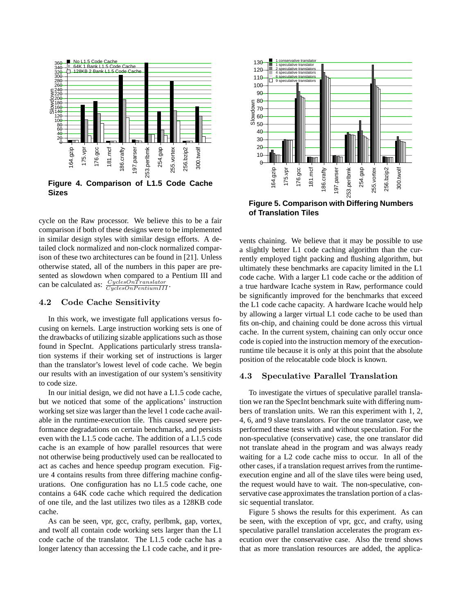

cycle on the Raw processor. We believe this to be a fair comparison if both of these designs were to be implemented in similar design styles with similar design efforts. A detailed clock normalized and non-clock normalized comparison of these two architectures can be found in [21]. Unless otherwise stated, all of the numbers in this paper are presented as slowdown when compared to a Pentium III and can be calculated as:  $\frac{CyclesOnTranslator}{CyclesOn Pentium III}$ .

## 4.2 Code Cache Sensitivity

In this work, we investigate full applications versus focusing on kernels. Large instruction working sets is one of the drawbacks of utilizing sizable applications such as those found in SpecInt. Applications particularly stress translation systems if their working set of instructions is larger than the translator's lowest level of code cache. We begin our results with an investigation of our system's sensitivity to code size.

In our initial design, we did not have a L1.5 code cache, but we noticed that some of the applications' instruction working set size was larger than the level 1 code cache available in the runtime-execution tile. This caused severe performance degradations on certain benchmarks, and persists even with the L1.5 code cache. The addition of a L1.5 code cache is an example of how parallel resources that were not otherwise being productively used can be reallocated to act as caches and hence speedup program execution. Figure 4 contains results from three differing machine configurations. One configuration has no L1.5 code cache, one contains a 64K code cache which required the dedication of one tile, and the last utilizes two tiles as a 128KB code cache.

As can be seen, vpr, gcc, crafty, perlbmk, gap, vortex, and twolf all contain code working sets larger than the L1 code cache of the translator. The L1.5 code cache has a longer latency than accessing the L1 code cache, and it pre-



**Figure 5. Comparison with Differing Numbers of Translation Tiles**

vents chaining. We believe that it may be possible to use a slightly better L1 code caching algorithm than the currently employed tight packing and flushing algorithm, but ultimately these benchmarks are capacity limited in the L1 code cache. With a larger L1 code cache or the addition of a true hardware Icache system in Raw, performance could be significantly improved for the benchmarks that exceed the L1 code cache capacity. A hardware Icache would help by allowing a larger virtual L1 code cache to be used than fits on-chip, and chaining could be done across this virtual cache. In the current system, chaining can only occur once code is copied into the instruction memory of the executionruntime tile because it is only at this point that the absolute position of the relocatable code block is known.

#### 4.3 Speculative Parallel Translation

To investigate the virtues of speculative parallel translation we ran the SpecInt benchmark suite with differing numbers of translation units. We ran this experiment with 1, 2, 4, 6, and 9 slave translators. For the one translator case, we performed these tests with and without speculation. For the non-speculative (conservative) case, the one translator did not translate ahead in the program and was always ready waiting for a L2 code cache miss to occur. In all of the other cases, if a translation request arrives from the runtimeexecution engine and all of the slave tiles were being used, the request would have to wait. The non-speculative, conservative case approximates the translation portion of a classic sequential translator.

Figure 5 shows the results for this experiment. As can be seen, with the exception of vpr, gcc, and crafty, using speculative parallel translation accelerates the program execution over the conservative case. Also the trend shows that as more translation resources are added, the applica-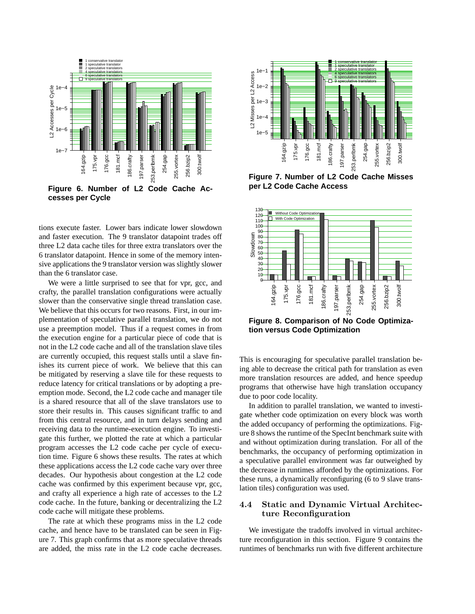

tions execute faster. Lower bars indicate lower slowdown and faster execution. The 9 translator datapoint trades off three L2 data cache tiles for three extra translators over the 6 translator datapoint. Hence in some of the memory intensive applications the 9 translator version was slightly slower than the 6 translator case.

We were a little surprised to see that for vpr, gcc, and crafty, the parallel translation configurations were actually slower than the conservative single thread translation case. We believe that this occurs for two reasons. First, in our implementation of speculative parallel translation, we do not use a preemption model. Thus if a request comes in from the execution engine for a particular piece of code that is not in the L2 code cache and all of the translation slave tiles are currently occupied, this request stalls until a slave finishes its current piece of work. We believe that this can be mitigated by reserving a slave tile for these requests to reduce latency for critical translations or by adopting a preemption mode. Second, the L2 code cache and manager tile is a shared resource that all of the slave translators use to store their results in. This causes significant traffic to and from this central resource, and in turn delays sending and receiving data to the runtime-execution engine. To investigate this further, we plotted the rate at which a particular program accesses the L2 code cache per cycle of execution time. Figure 6 shows these results. The rates at which these applications access the L2 code cache vary over three decades. Our hypothesis about congestion at the L2 code cache was confirmed by this experiment because vpr, gcc, and crafty all experience a high rate of accesses to the L2 code cache. In the future, banking or decentralizing the L2 code cache will mitigate these problems.

The rate at which these programs miss in the L2 code cache, and hence have to be translated can be seen in Figure 7. This graph confirms that as more speculative threads are added, the miss rate in the L2 code cache decreases.



**Figure 7. Number of L2 Code Cache Misses per L2 Code Cache Access**



**Figure 8. Comparison of No Code Optimization versus Code Optimization**

This is encouraging for speculative parallel translation being able to decrease the critical path for translation as even more translation resources are added, and hence speedup programs that otherwise have high translation occupancy due to poor code locality.

In addition to parallel translation, we wanted to investigate whether code optimization on every block was worth the added occupancy of performing the optimizations. Figure 8 showsthe runtime of the SpecInt benchmark suite with and without optimization during translation. For all of the benchmarks, the occupancy of performing optimization in a speculative parallel environment was far outweighed by the decrease in runtimes afforded by the optimizations. For these runs, a dynamically reconfiguring (6 to 9 slave translation tiles) configuration was used.

# 4.4 Static and Dynamic Virtual Architecture Reconfiguration

We investigate the tradoffs involved in virtual architecture reconfiguration in this section. Figure 9 contains the runtimes of benchmarks run with five different architecture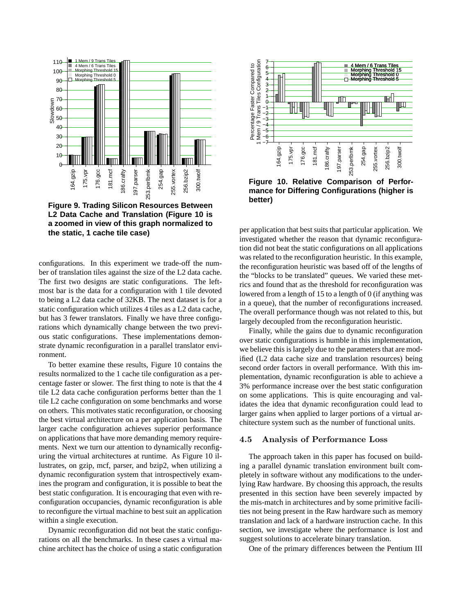

**Figure 9. Trading Silicon Resources Between L2 Data Cache and Translation (Figure 10 is a zoomed in view of this graph normalized to the static, 1 cache tile case)**

configurations. In this experiment we trade-off the number of translation tiles against the size of the L2 data cache. The first two designs are static configurations. The leftmost bar is the data for a configuration with 1 tile devoted to being a L2 data cache of 32KB. The next dataset is for a static configuration which utilizes 4 tiles as a L2 data cache, but has 3 fewer translators. Finally we have three configurations which dynamically change between the two previous static configurations. These implementations demonstrate dynamic reconfiguration in a parallel translator environment.

To better examine these results, Figure 10 contains the results normalized to the 1 cache tile configuration as a percentage faster or slower. The first thing to note is that the 4 tile L2 data cache configuration performs better than the 1 tile L2 cache configuration on some benchmarks and worse on others. This motivates static reconfiguration, or choosing the best virtual architecture on a per application basis. The larger cache configuration achieves superior performance on applications that have more demanding memory requirements. Next we turn our attention to dynamically reconfiguring the virtual architectures at runtime. As Figure 10 illustrates, on gzip, mcf, parser, and bzip2, when utilizing a dynamic reconfiguration system that introspectively examines the program and configuration, it is possible to beat the best static configuration. It is encouraging that even with reconfiguration occupancies, dynamic reconfiguration is able to reconfigure the virtual machine to best suit an application within a single execution.

Dynamic reconfiguration did not beat the static configurations on all the benchmarks. In these cases a virtual machine architect has the choice of using a static configuration



**Figure 10. Relative Comparison of Performance for Differing Configurations (higher is better)**

per application that best suits that particular application. We investigated whether the reason that dynamic reconfiguration did not beat the static configurations on all applications was related to the reconfiguration heuristic. In this example, the reconfiguration heuristic was based off of the lengths of the "blocks to be translated" queues. We varied these metrics and found that as the threshold for reconfiguration was lowered from a length of 15 to a length of 0 (if anything was in a queue), that the number of reconfigurations increased. The overall performance though was not related to this, but largely decoupled from the reconfiguration heuristic.

Finally, while the gains due to dynamic reconfiguration over static configurations is humble in this implementation, we believe this is largely due to the parameters that are modified (L2 data cache size and translation resources) being second order factors in overall performance. With this implementation, dynamic reconfiguration is able to achieve a 3% performance increase over the best static configuration on some applications. This is quite encouraging and validates the idea that dynamic reconfiguration could lead to larger gains when applied to larger portions of a virtual architecture system such as the number of functional units.

#### 4.5 Analysis of Performance Loss

The approach taken in this paper has focused on building a parallel dynamic translation environment built completely in software without any modifications to the underlying Raw hardware. By choosing this approach, the results presented in this section have been severely impacted by the mis-match in architectures and by some primitive facilities not being present in the Raw hardware such as memory translation and lack of a hardware instruction cache. In this section, we investigate where the performance is lost and suggest solutions to accelerate binary translation.

One of the primary differences between the Pentium III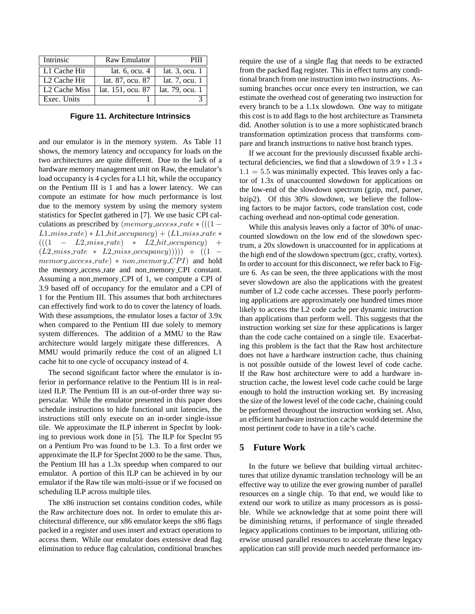| Intrinsic                 | Raw Emulator      | PHI             |
|---------------------------|-------------------|-----------------|
| L1 Cache Hit              | lat. 6, ocu. 4    | lat. 3, ocu. 1  |
| L2 Cache Hit              | lat. 87, ocu. 87  | lat. 7, ocu. 1  |
| L <sub>2</sub> Cache Miss | lat. 151, ocu. 87 | lat. 79, ocu. 1 |
| Exec. Units               |                   |                 |

#### **Figure 11. Architecture Intrinsics**

and our emulator is in the memory system. As Table 11 shows, the memory latency and occupancy for loads on the two architectures are quite different. Due to the lack of a hardware memory management unit on Raw, the emulator's load occupancy is 4 cycles for a L1 hit, while the occupancy on the Pentium III is 1 and has a lower latency. We can compute an estimate for how much performance is lost due to the memory system by using the memory system statistics for SpecInt gathered in [7]. We use basic CPI calculations as prescribed by (memory access rate  $\ast$  (((1 – L1 miss rate) \* L1 hit occupancy) + (L1 miss rate \*  $((1 - L2 \text{miss-rate}) * L2 \text{ hit occupancy}) +$  $(L2\_miss\_rate * L2\_miss\_occupancy))))$  +  $((1$ memory  $access_rate$  \* non memory CPI) and hold the memory access rate and non memory CPI constant. Assuming a non memory CPI of 1, we compute a CPI of 3.9 based off of occupancy for the emulator and a CPI of 1 for the Pentium III. This assumes that both architectures can effectively find work to do to cover the latency of loads. With these assumptions, the emulator loses a factor of 3.9x when compared to the Pentium III due solely to memory system differences. The addition of a MMU to the Raw architecture would largely mitigate these differences. A MMU would primarily reduce the cost of an aligned L1 cache hit to one cycle of occupancy instead of 4.

The second significant factor where the emulator is inferior in performance relative to the Pentium III is in realized ILP. The Pentium III is an out-of-order three way superscalar. While the emulator presented in this paper does schedule instructions to hide functional unit latencies, the instructions still only execute on an in-order single-issue tile. We approximate the ILP inherent in SpecInt by looking to previous work done in [5]. The ILP for SpecInt 95 on a Pentium Pro was found to be 1.3. To a first order we approximate the ILP for SpecInt 2000 to be the same. Thus, the Pentium III has a 1.3x speedup when compared to our emulator. A portion of this ILP can be achieved in by our emulator if the Raw tile was multi-issue or if we focused on scheduling ILP across multiple tiles.

The x86 instruction set contains condition codes, while the Raw architecture does not. In order to emulate this architectural difference, our x86 emulator keeps the x86 flags packed in a register and uses insert and extract operations to access them. While our emulator does extensive dead flag elimination to reduce flag calculation, conditional branches

require the use of a single flag that needs to be extracted from the packed flag register. This in effect turns any conditional branch from one instruction into two instructions. Assuming branches occur once every ten instruction, we can estimate the overhead cost of generating two instruction for every branch to be a 1.1x slowdown. One way to mitigate this cost is to add flags to the host architecture as Transmeta did. Another solution is to use a more sophisticated branch transformation optimization process that transforms compare and branch instructions to native host branch types.

If we account for the previously discussed fixable architectural deficiencies, we find that a slowdown of 3.9 ∗ 1.3 ∗  $1.1 = 5.5$  was minimally expected. This leaves only a factor of 1.3x of unaccounted slowdown for applications on the low-end of the slowdown spectrum (gzip, mcf, parser, bzip2). Of this 30% slowdown, we believe the following factors to be major factors, code translation cost, code caching overhead and non-optimal code generation.

While this analysis leaves only a factor of 30% of unaccounted slowdown on the low end of the slowdown spectrum, a 20x slowdown is unaccounted for in applications at the high end of the slowdown spectrum (gcc, crafty, vortex). In order to account for this disconnect, we refer back to Figure 6. As can be seen, the three applications with the most sever slowdown are also the applications with the greatest number of L2 code cache accesses. These poorly performing applications are approximately one hundred times more likely to access the L2 code cache per dynamic instruction than applications than perform well. This suggests that the instruction working set size for these applications is larger than the code cache contained on a single tile. Exacerbating this problem is the fact that the Raw host architecture does not have a hardware instruction cache, thus chaining is not possible outside of the lowest level of code cache. If the Raw host architecture were to add a hardware instruction cache, the lowest level code cache could be large enough to hold the instruction working set. By increasing the size of the lowest level of the code cache, chaining could be performed throughout the instruction working set. Also, an efficient hardware instruction cache would determine the most pertinent code to have in a tile's cache.

# **5 Future Work**

In the future we believe that building virtual architectures that utilize dynamic translation technology will be an effective way to utilize the ever growing number of parallel resources on a single chip. To that end, we would like to extend our work to utilize as many processors as is possible. While we acknowledge that at some point there will be diminishing returns, if performance of single threaded legacy applications continues to be important, utilizing otherwise unused parallel resources to accelerate these legacy application can still provide much needed performance im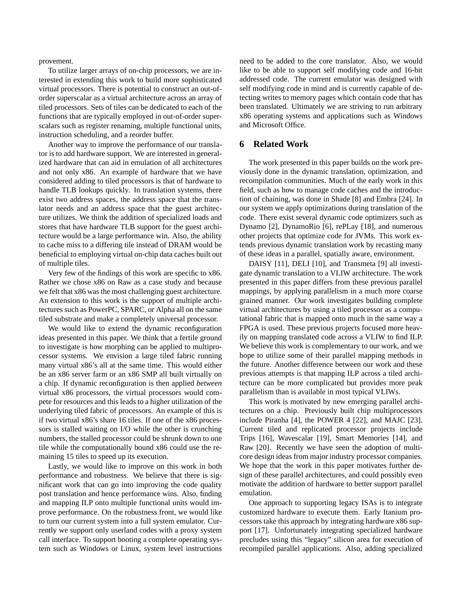provement.

To utilize larger arrays of on-chip processors, we are interested in extending this work to build more sophisticated virtual processors. There is potential to construct an out-oforder superscalar as a virtual architecture across an array of tiled processors. Sets of tiles can be dedicated to each of the functions that are typically employed in out-of-order superscalars such as register renaming, multiple functional units, instruction scheduling, and a reorder buffer.

Another way to improve the performance of our translator is to add hardware support. We are interested in generalized hardware that can aid in emulation of all architectures and not only x86. An example of hardware that we have considered adding to tiled processors is that of hardware to handle TLB lookups quickly. In translation systems, there exist two address spaces, the address space that the translator needs and an address space that the guest architecture utilizes. We think the addition of specialized loads and stores that have hardware TLB support for the guest architecture would be a large performance win. Also, the ability to cache miss to a differing tile instead of DRAM would be beneficial to employing virtual on-chip data caches built out of multiple tiles.

Very few of the findings of this work are specific to x86. Rather we chose x86 on Raw as a case study and because we felt that x86 was the most challenging guest architecture. An extension to this work is the support of multiple architectures such as PowerPC, SPARC, or Alpha all on the same tiled substrate and make a completely universal processor.

We would like to extend the dynamic reconfiguration ideas presented in this paper. We think that a fertile ground to investigate is how morphing can be applied to multiprocessor systems. We envision a large tiled fabric running many virtual x86's all at the same time. This would either be an x86 server farm or an x86 SMP all built virtually on a chip. If dynamic reconfiguration is then applied *between* virtual x86 processors, the virtual processors would compete for resources and this leads to a higher utilization of the underlying tiled fabric of processors. An example of this is if two virtual x86's share 16 tiles. If one of the x86 processors is stalled waiting on I/O while the other is crunching numbers, the stalled processor could be shrunk down to one tile while the computationally bound x86 could use the remaining 15 tiles to speed up its execution.

Lastly, we would like to improve on this work in both performance and robustness. We believe that there is significant work that can go into improving the code quality post translation and hence performance wins. Also, finding and mapping ILP onto multiple functional units would improve performance. On the robustness front, we would like to turn our current system into a full system emulator. Currently we support only userland codes with a proxy system call interface. To support booting a complete operating system such as Windows or Linux, system level instructions need to be added to the core translator. Also, we would like to be able to support self modifying code and 16-bit addressed code. The current emulator was designed with self modifying code in mind and is currently capable of detecting writes to memory pages which contain code that has been translated. Ultimately we are striving to run arbitrary x86 operating systems and applications such as Windows and Microsoft Office.

## **6 Related Work**

The work presented in this paper builds on the work previously done in the dynamic translation, optimization, and recompilation communities. Much of the early work in this field, such as how to manage code caches and the introduction of chaining, was done in Shade [8] and Embra [24]. In our system we apply optimizations during translation of the code. There exist several dynamic code optimizers such as Dynamo [2], DynamoRio [6], rePLay [18], and numerous other projects that optimize code for JVMs. This work extends previous dynamic translation work by recasting many of these ideas in a parallel, spatially aware, environment.

DAISY [11], DELI [10], and Transmeta [9] all investigate dynamic translation to a VLIW architecture. The work presented in this paper differs from these previous parallel mappings, by applying parallelism in a much more coarse grained manner. Our work investigates building complete virtual architectures by using a tiled processor as a computational fabric that is mapped onto much in the same way a FPGA is used. These previous projects focused more heavily on mapping translated code across a VLIW to find ILP. We believe this work is complementary to our work, and we hope to utilize some of their parallel mapping methods in the future. Another difference between our work and these previous attempts is that mapping ILP across a tiled architecture can be more complicated but provides more peak parallelism than is available in most typical VLIWs.

This work is motivated by new emerging parallel architectures on a chip. Previously built chip multiprocessors include Piranha [4], the POWER 4 [22], and MAJC [23]. Current tiled and replicated processor projects include Trips [16], Wavescalar [19], Smart Memories [14], and Raw [20]. Recently we have seen the adoption of multicore design ideas from major industry processor companies. We hope that the work in this paper motivates further design of these parallel architectures, and could possibly even motivate the addition of hardware to better support parallel emulation.

One approach to supporting legacy ISAs is to integrate customized hardware to execute them. Early Itanium processors take this approach by integrating hardware x86 support [17]. Unfortunately integrating specialized hardware precludes using this "legacy" silicon area for execution of recompiled parallel applications. Also, adding specialized